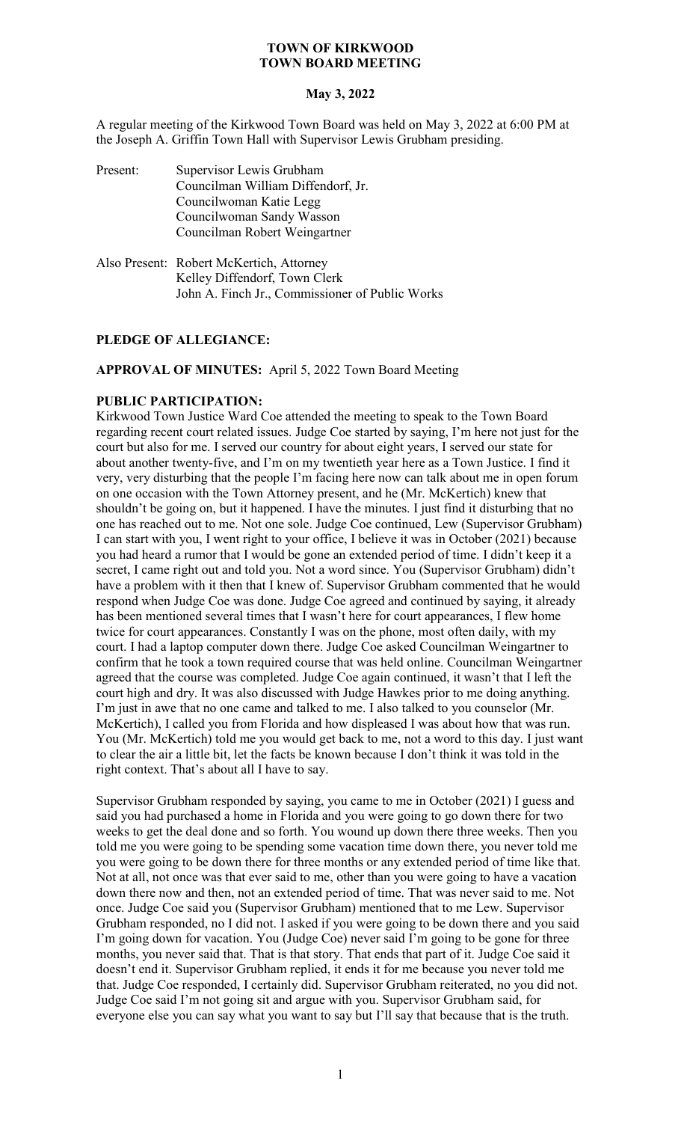## **May 3, 2022**

A regular meeting of the Kirkwood Town Board was held on May 3, 2022 at 6:00 PM at the Joseph A. Griffin Town Hall with Supervisor Lewis Grubham presiding.

| Present: | Supervisor Lewis Grubham<br>Councilman William Diffendorf, Jr.<br>Councilwoman Katie Legg<br>Councilwoman Sandy Wasson<br>Councilman Robert Weingartner |
|----------|---------------------------------------------------------------------------------------------------------------------------------------------------------|
|          | Also Present: Robert McKertich, Attorney<br>Kelley Diffendorf, Town Clerk                                                                               |

## **PLEDGE OF ALLEGIANCE:**

**APPROVAL OF MINUTES:** April 5, 2022 Town Board Meeting

John A. Finch Jr., Commissioner of Public Works

# **PUBLIC PARTICIPATION:**

Kirkwood Town Justice Ward Coe attended the meeting to speak to the Town Board regarding recent court related issues. Judge Coe started by saying, I'm here not just for the court but also for me. I served our country for about eight years, I served our state for about another twenty-five, and I'm on my twentieth year here as a Town Justice. I find it very, very disturbing that the people I'm facing here now can talk about me in open forum on one occasion with the Town Attorney present, and he (Mr. McKertich) knew that shouldn't be going on, but it happened. I have the minutes. I just find it disturbing that no one has reached out to me. Not one sole. Judge Coe continued, Lew (Supervisor Grubham) I can start with you, I went right to your office, I believe it was in October (2021) because you had heard a rumor that I would be gone an extended period of time. I didn't keep it a secret, I came right out and told you. Not a word since. You (Supervisor Grubham) didn't have a problem with it then that I knew of. Supervisor Grubham commented that he would respond when Judge Coe was done. Judge Coe agreed and continued by saying, it already has been mentioned several times that I wasn't here for court appearances, I flew home twice for court appearances. Constantly I was on the phone, most often daily, with my court. I had a laptop computer down there. Judge Coe asked Councilman Weingartner to confirm that he took a town required course that was held online. Councilman Weingartner agreed that the course was completed. Judge Coe again continued, it wasn't that I left the court high and dry. It was also discussed with Judge Hawkes prior to me doing anything. I'm just in awe that no one came and talked to me. I also talked to you counselor (Mr. McKertich), I called you from Florida and how displeased I was about how that was run. You (Mr. McKertich) told me you would get back to me, not a word to this day. I just want to clear the air a little bit, let the facts be known because I don't think it was told in the right context. That's about all I have to say.

Supervisor Grubham responded by saying, you came to me in October (2021) I guess and said you had purchased a home in Florida and you were going to go down there for two weeks to get the deal done and so forth. You wound up down there three weeks. Then you told me you were going to be spending some vacation time down there, you never told me you were going to be down there for three months or any extended period of time like that. Not at all, not once was that ever said to me, other than you were going to have a vacation down there now and then, not an extended period of time. That was never said to me. Not once. Judge Coe said you (Supervisor Grubham) mentioned that to me Lew. Supervisor Grubham responded, no I did not. I asked if you were going to be down there and you said I'm going down for vacation. You (Judge Coe) never said I'm going to be gone for three months, you never said that. That is that story. That ends that part of it. Judge Coe said it doesn't end it. Supervisor Grubham replied, it ends it for me because you never told me that. Judge Coe responded, I certainly did. Supervisor Grubham reiterated, no you did not. Judge Coe said I'm not going sit and argue with you. Supervisor Grubham said, for everyone else you can say what you want to say but I'll say that because that is the truth.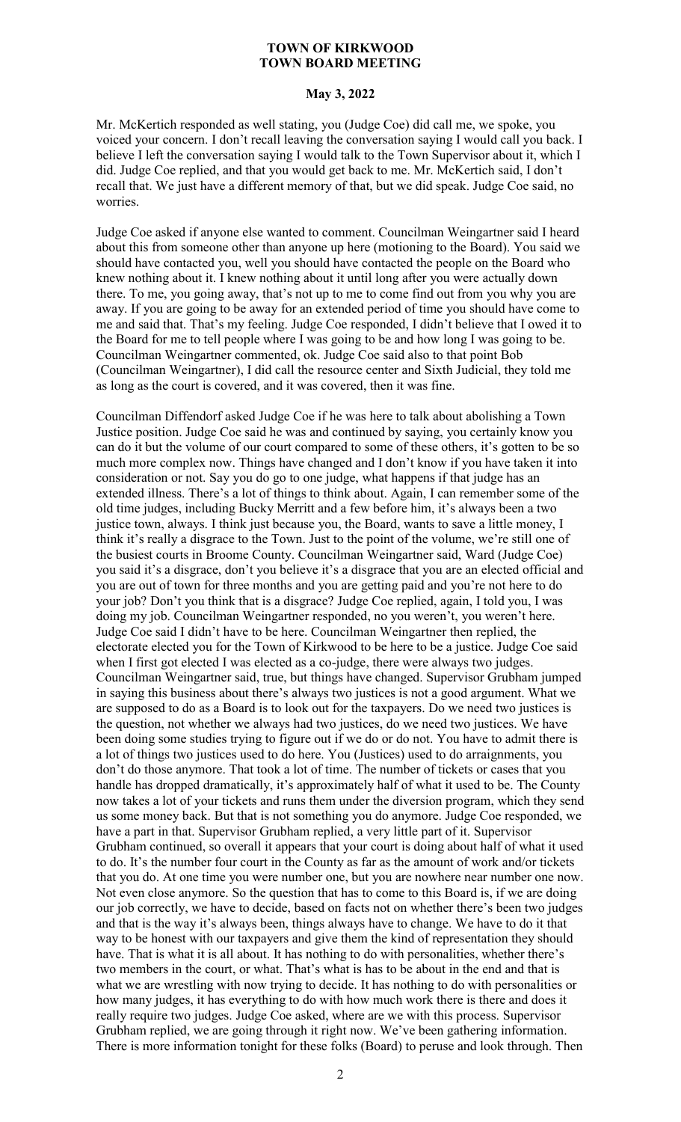# **May 3, 2022**

Mr. McKertich responded as well stating, you (Judge Coe) did call me, we spoke, you voiced your concern. I don't recall leaving the conversation saying I would call you back. I believe I left the conversation saying I would talk to the Town Supervisor about it, which I did. Judge Coe replied, and that you would get back to me. Mr. McKertich said, I don't recall that. We just have a different memory of that, but we did speak. Judge Coe said, no worries.

Judge Coe asked if anyone else wanted to comment. Councilman Weingartner said I heard about this from someone other than anyone up here (motioning to the Board). You said we should have contacted you, well you should have contacted the people on the Board who knew nothing about it. I knew nothing about it until long after you were actually down there. To me, you going away, that's not up to me to come find out from you why you are away. If you are going to be away for an extended period of time you should have come to me and said that. That's my feeling. Judge Coe responded, I didn't believe that I owed it to the Board for me to tell people where I was going to be and how long I was going to be. Councilman Weingartner commented, ok. Judge Coe said also to that point Bob (Councilman Weingartner), I did call the resource center and Sixth Judicial, they told me as long as the court is covered, and it was covered, then it was fine.

Councilman Diffendorf asked Judge Coe if he was here to talk about abolishing a Town Justice position. Judge Coe said he was and continued by saying, you certainly know you can do it but the volume of our court compared to some of these others, it's gotten to be so much more complex now. Things have changed and I don't know if you have taken it into consideration or not. Say you do go to one judge, what happens if that judge has an extended illness. There's a lot of things to think about. Again, I can remember some of the old time judges, including Bucky Merritt and a few before him, it's always been a two justice town, always. I think just because you, the Board, wants to save a little money, I think it's really a disgrace to the Town. Just to the point of the volume, we're still one of the busiest courts in Broome County. Councilman Weingartner said, Ward (Judge Coe) you said it's a disgrace, don't you believe it's a disgrace that you are an elected official and you are out of town for three months and you are getting paid and you're not here to do your job? Don't you think that is a disgrace? Judge Coe replied, again, I told you, I was doing my job. Councilman Weingartner responded, no you weren't, you weren't here. Judge Coe said I didn't have to be here. Councilman Weingartner then replied, the electorate elected you for the Town of Kirkwood to be here to be a justice. Judge Coe said when I first got elected I was elected as a co-judge, there were always two judges. Councilman Weingartner said, true, but things have changed. Supervisor Grubham jumped in saying this business about there's always two justices is not a good argument. What we are supposed to do as a Board is to look out for the taxpayers. Do we need two justices is the question, not whether we always had two justices, do we need two justices. We have been doing some studies trying to figure out if we do or do not. You have to admit there is a lot of things two justices used to do here. You (Justices) used to do arraignments, you don't do those anymore. That took a lot of time. The number of tickets or cases that you handle has dropped dramatically, it's approximately half of what it used to be. The County now takes a lot of your tickets and runs them under the diversion program, which they send us some money back. But that is not something you do anymore. Judge Coe responded, we have a part in that. Supervisor Grubham replied, a very little part of it. Supervisor Grubham continued, so overall it appears that your court is doing about half of what it used to do. It's the number four court in the County as far as the amount of work and/or tickets that you do. At one time you were number one, but you are nowhere near number one now. Not even close anymore. So the question that has to come to this Board is, if we are doing our job correctly, we have to decide, based on facts not on whether there's been two judges and that is the way it's always been, things always have to change. We have to do it that way to be honest with our taxpayers and give them the kind of representation they should have. That is what it is all about. It has nothing to do with personalities, whether there's two members in the court, or what. That's what is has to be about in the end and that is what we are wrestling with now trying to decide. It has nothing to do with personalities or how many judges, it has everything to do with how much work there is there and does it really require two judges. Judge Coe asked, where are we with this process. Supervisor Grubham replied, we are going through it right now. We've been gathering information. There is more information tonight for these folks (Board) to peruse and look through. Then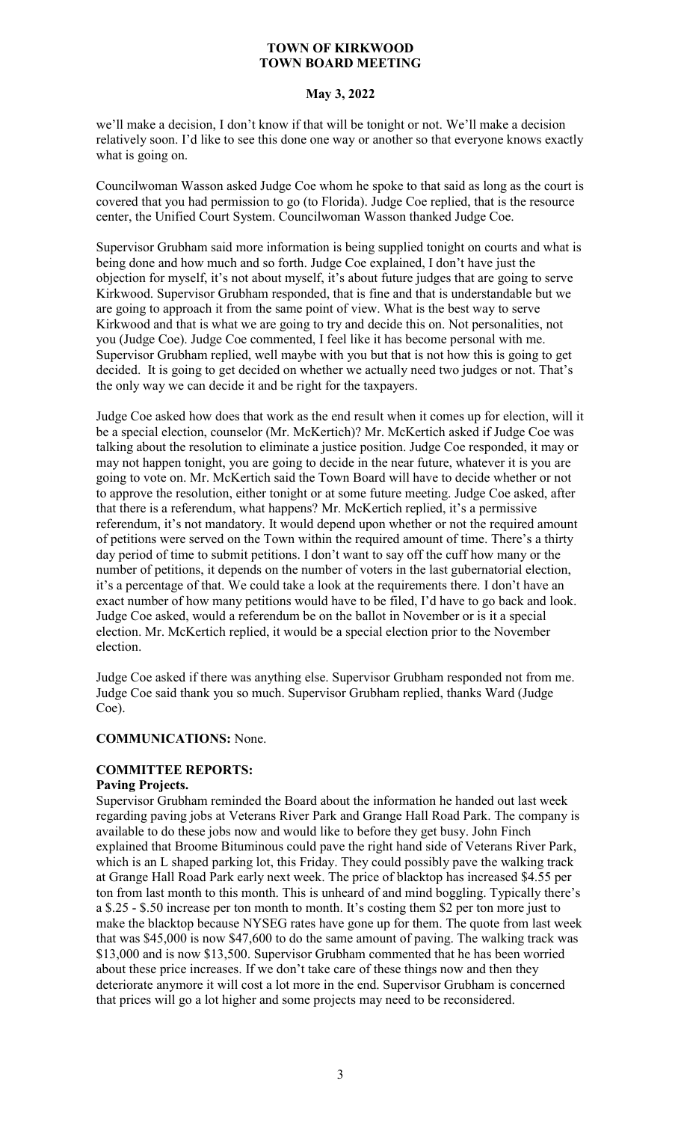# **May 3, 2022**

we'll make a decision, I don't know if that will be tonight or not. We'll make a decision relatively soon. I'd like to see this done one way or another so that everyone knows exactly what is going on.

Councilwoman Wasson asked Judge Coe whom he spoke to that said as long as the court is covered that you had permission to go (to Florida). Judge Coe replied, that is the resource center, the Unified Court System. Councilwoman Wasson thanked Judge Coe.

Supervisor Grubham said more information is being supplied tonight on courts and what is being done and how much and so forth. Judge Coe explained, I don't have just the objection for myself, it's not about myself, it's about future judges that are going to serve Kirkwood. Supervisor Grubham responded, that is fine and that is understandable but we are going to approach it from the same point of view. What is the best way to serve Kirkwood and that is what we are going to try and decide this on. Not personalities, not you (Judge Coe). Judge Coe commented, I feel like it has become personal with me. Supervisor Grubham replied, well maybe with you but that is not how this is going to get decided. It is going to get decided on whether we actually need two judges or not. That's the only way we can decide it and be right for the taxpayers.

Judge Coe asked how does that work as the end result when it comes up for election, will it be a special election, counselor (Mr. McKertich)? Mr. McKertich asked if Judge Coe was talking about the resolution to eliminate a justice position. Judge Coe responded, it may or may not happen tonight, you are going to decide in the near future, whatever it is you are going to vote on. Mr. McKertich said the Town Board will have to decide whether or not to approve the resolution, either tonight or at some future meeting. Judge Coe asked, after that there is a referendum, what happens? Mr. McKertich replied, it's a permissive referendum, it's not mandatory. It would depend upon whether or not the required amount of petitions were served on the Town within the required amount of time. There's a thirty day period of time to submit petitions. I don't want to say off the cuff how many or the number of petitions, it depends on the number of voters in the last gubernatorial election, it's a percentage of that. We could take a look at the requirements there. I don't have an exact number of how many petitions would have to be filed, I'd have to go back and look. Judge Coe asked, would a referendum be on the ballot in November or is it a special election. Mr. McKertich replied, it would be a special election prior to the November election.

Judge Coe asked if there was anything else. Supervisor Grubham responded not from me. Judge Coe said thank you so much. Supervisor Grubham replied, thanks Ward (Judge Coe).

# **COMMUNICATIONS:** None.

# **COMMITTEE REPORTS:**

## **Paving Projects.**

Supervisor Grubham reminded the Board about the information he handed out last week regarding paving jobs at Veterans River Park and Grange Hall Road Park. The company is available to do these jobs now and would like to before they get busy. John Finch explained that Broome Bituminous could pave the right hand side of Veterans River Park, which is an L shaped parking lot, this Friday. They could possibly pave the walking track at Grange Hall Road Park early next week. The price of blacktop has increased \$4.55 per ton from last month to this month. This is unheard of and mind boggling. Typically there's a \$.25 - \$.50 increase per ton month to month. It's costing them \$2 per ton more just to make the blacktop because NYSEG rates have gone up for them. The quote from last week that was \$45,000 is now \$47,600 to do the same amount of paving. The walking track was \$13,000 and is now \$13,500. Supervisor Grubham commented that he has been worried about these price increases. If we don't take care of these things now and then they deteriorate anymore it will cost a lot more in the end. Supervisor Grubham is concerned that prices will go a lot higher and some projects may need to be reconsidered.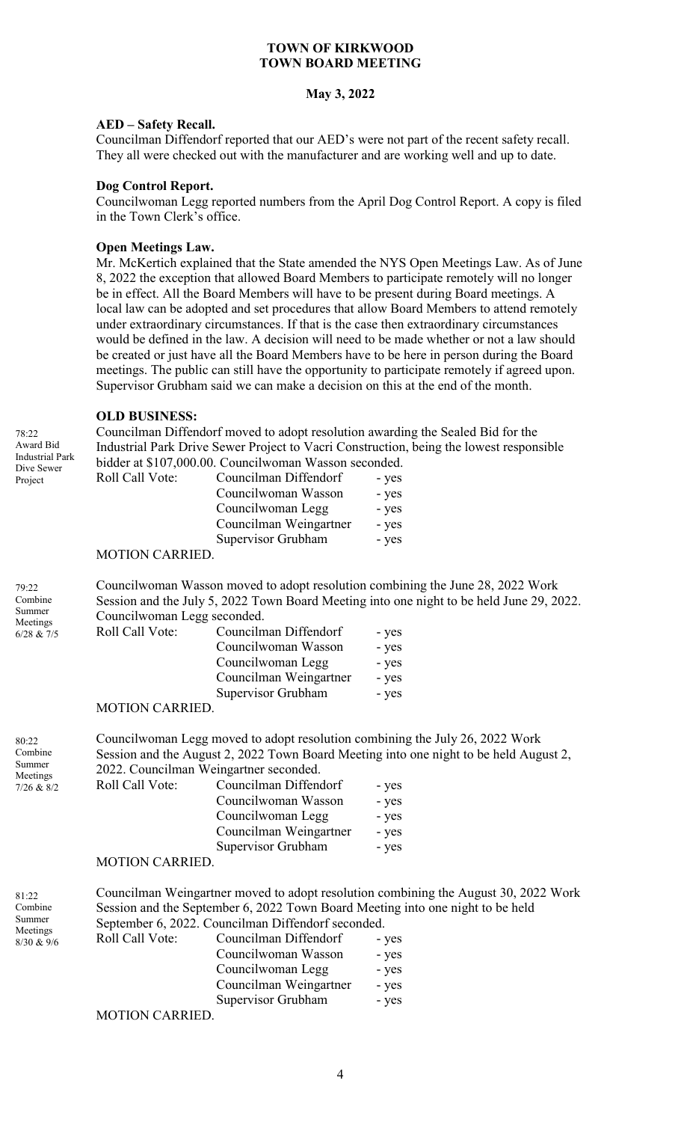### **May 3, 2022**

### **AED – Safety Recall.**

Councilman Diffendorf reported that our AED's were not part of the recent safety recall. They all were checked out with the manufacturer and are working well and up to date.

#### **Dog Control Report.**

Councilwoman Legg reported numbers from the April Dog Control Report. A copy is filed in the Town Clerk's office.

#### **Open Meetings Law.**

Mr. McKertich explained that the State amended the NYS Open Meetings Law. As of June 8, 2022 the exception that allowed Board Members to participate remotely will no longer be in effect. All the Board Members will have to be present during Board meetings. A local law can be adopted and set procedures that allow Board Members to attend remotely under extraordinary circumstances. If that is the case then extraordinary circumstances would be defined in the law. A decision will need to be made whether or not a law should be created or just have all the Board Members have to be here in person during the Board meetings. The public can still have the opportunity to participate remotely if agreed upon. Supervisor Grubham said we can make a decision on this at the end of the month.

## **OLD BUSINESS:**

Councilman Diffendorf moved to adopt resolution awarding the Sealed Bid for the Industrial Park Drive Sewer Project to Vacri Construction, being the lowest responsible bidder at \$107,000.00. Councilwoman Wasson seconded.

| Dive Sewer |                 | bidder at \$107,000.00. Councilwoman wasson seconded. |       |
|------------|-----------------|-------------------------------------------------------|-------|
| Project    | Roll Call Vote: | Councilman Diffendorf                                 | - yes |
|            |                 | Councilwoman Wasson                                   | - yes |
|            |                 | Councilwoman Legg                                     | - yes |
|            |                 | Councilman Weingartner                                | - yes |
|            |                 | Supervisor Grubham                                    | - yes |
|            |                 |                                                       |       |

#### MOTION CARRIED.

79:22 Combine Summer **Meetings** 

78:22 Award Bid Industrial Park

80:22 Combine Summer **Meetings**  Councilwoman Wasson moved to adopt resolution combining the June 28, 2022 Work Session and the July 5, 2022 Town Board Meeting into one night to be held June 29, 2022. Councilwoman Legg seconded.

| <br>$6/28$ & $7/5$ | Roll Call Vote: | Councilman Diffendorf  | - yes |
|--------------------|-----------------|------------------------|-------|
|                    |                 | Councilwoman Wasson    | - yes |
|                    |                 | Councilwoman Legg      | - yes |
|                    |                 | Councilman Weingartner | - yes |
|                    |                 | Supervisor Grubham     | - yes |
|                    | MOTION CADDIED  |                        |       |

#### MOTION CARRIED.

Councilwoman Legg moved to adopt resolution combining the July 26, 2022 Work Session and the August 2, 2022 Town Board Meeting into one night to be held August 2, 2022. Councilman Weingartner seconded.

| $7/26$ & $8/2$ | Roll Call Vote: | Councilman Diffendorf  | - yes |
|----------------|-----------------|------------------------|-------|
|                |                 | Councilwoman Wasson    | - yes |
|                |                 | Councilwoman Legg      | - yes |
|                |                 | Councilman Weingartner | - yes |
|                |                 | Supervisor Grubham     | - yes |
|                |                 |                        |       |

#### MOTION CARRIED.

| 81:22<br>Combine   |                 |                                                    | Councilman Weingartner moved to adopt resolution combining the August 30, 2022 Work<br>Session and the September 6, 2022 Town Board Meeting into one night to be held |
|--------------------|-----------------|----------------------------------------------------|-----------------------------------------------------------------------------------------------------------------------------------------------------------------------|
| Summer<br>Meetings |                 | September 6, 2022. Councilman Diffendorf seconded. |                                                                                                                                                                       |
| 8/30 & 9/6         | Roll Call Vote: | Councilman Diffendorf                              | - yes                                                                                                                                                                 |
|                    |                 | Councilwoman Wasson                                | - yes                                                                                                                                                                 |
|                    |                 | Councilwoman Legg                                  | - yes                                                                                                                                                                 |
|                    |                 | Councilman Weingartner                             | - yes                                                                                                                                                                 |
|                    |                 | Supervisor Grubham                                 | - yes                                                                                                                                                                 |

#### MOTION CARRIED.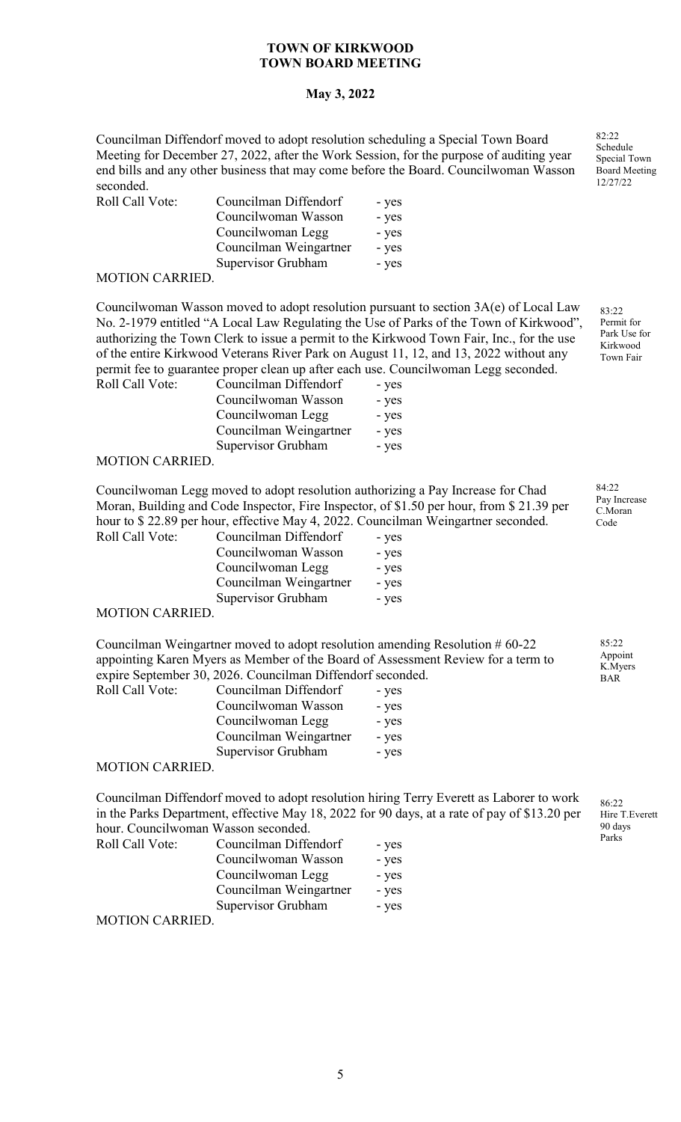## **May 3, 2022**

Councilman Diffendorf moved to adopt resolution scheduling a Special Town Board Meeting for December 27, 2022, after the Work Session, for the purpose of auditing year end bills and any other business that may come before the Board. Councilwoman Wasson seconded.

| Roll Call Vote: | Councilman Diffendorf  | - yes |
|-----------------|------------------------|-------|
|                 | Councilwoman Wasson    | - yes |
|                 | Councilwoman Legg      | - yes |
|                 | Councilman Weingartner | - yes |
|                 | Supervisor Grubham     | - yes |
|                 |                        |       |

#### MOTION CARRIED.

Councilwoman Wasson moved to adopt resolution pursuant to section 3A(e) of Local Law No. 2-1979 entitled "A Local Law Regulating the Use of Parks of the Town of Kirkwood", authorizing the Town Clerk to issue a permit to the Kirkwood Town Fair, Inc., for the use of the entire Kirkwood Veterans River Park on August 11, 12, and 13, 2022 without any permit fee to guarantee proper clean up after each use. Councilwoman Legg seconded. Roll Call Vote: C

| Councilman Diffendorf  | - yes |
|------------------------|-------|
| Councilwoman Wasson    | - yes |
| Councilwoman Legg      | - yes |
| Councilman Weingartner | - yes |
| Supervisor Grubham     | - yes |
|                        |       |

## MOTION CARRIED.

Councilwoman Legg moved to adopt resolution authorizing a Pay Increase for Chad Moran, Building and Code Inspector, Fire Inspector, of \$1.50 per hour, from \$ 21.39 per hour to \$ 22.89 per hour, effective May 4, 2022. Councilman Weingartner seconded. Roll Call Vote:

| Councilman Diffendorf  | - yes |
|------------------------|-------|
| Councilwoman Wasson    | - yes |
| Councilwoman Legg      | - yes |
| Councilman Weingartner | - yes |
| Supervisor Grubham     | - yes |
|                        |       |

#### MOTION CARRIED.

Councilman Weingartner moved to adopt resolution amending Resolution # 60-22 appointing Karen Myers as Member of the Board of Assessment Review for a term to expire September 30, 2026. Councilman Diffendorf seconded.

| Roll Call Vote: | Councilman Diffendorf  | - yes |
|-----------------|------------------------|-------|
|                 | Councilwoman Wasson    | - yes |
|                 | Councilwoman Legg      | - yes |
|                 | Councilman Weingartner | - yes |
|                 | Supervisor Grubham     | - yes |
| MOTION CADDIED  |                        |       |

#### MOTION CARRIED.

Councilman Diffendorf moved to adopt resolution hiring Terry Everett as Laborer to work in the Parks Department, effective May 18, 2022 for 90 days, at a rate of pay of \$13.20 per hour. Councilwoman Wasson seconded.

| <b>Roll Call Vote:</b> | Councilman Diffendorf  | - yes |
|------------------------|------------------------|-------|
|                        | Councilwoman Wasson    | - yes |
|                        | Councilwoman Legg      | - yes |
|                        | Councilman Weingartner | - yes |
|                        | Supervisor Grubham     | - yes |
| <b>MOTION CARRIED.</b> |                        |       |

82:22 Schedule Special Town Board Meeting 12/27/22

> 83:22 Permit for Park Use for Kirkwood Town Fair

84:22 Pay Increase C.Moran Code

85:22 Appoint K.Myers BAR

86:22 Hire T.Everett 90 days Parks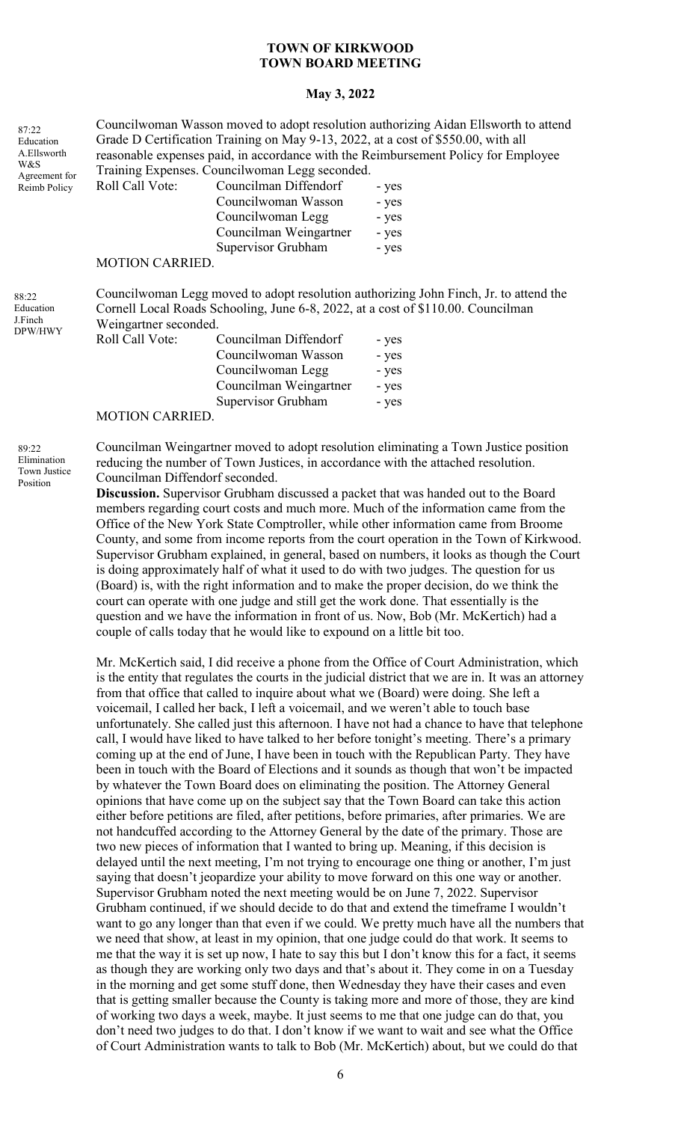#### **May 3, 2022**

| 87:22                         |                                                                                                                                                                                                    |                        | Councilwoman Wasson moved to adopt resolution authorizing Aidan Ellsworth to attend  |  |
|-------------------------------|----------------------------------------------------------------------------------------------------------------------------------------------------------------------------------------------------|------------------------|--------------------------------------------------------------------------------------|--|
| Education                     | Grade D Certification Training on May 9-13, 2022, at a cost of \$550.00, with all                                                                                                                  |                        |                                                                                      |  |
| A.Ellsworth<br>W&S            |                                                                                                                                                                                                    |                        | reasonable expenses paid, in accordance with the Reimbursement Policy for Employee   |  |
| Agreement for                 | Training Expenses. Councilwoman Legg seconded.                                                                                                                                                     |                        |                                                                                      |  |
| Reimb Policy                  | Roll Call Vote:                                                                                                                                                                                    | Councilman Diffendorf  | - yes                                                                                |  |
|                               |                                                                                                                                                                                                    | Councilwoman Wasson    | - yes                                                                                |  |
|                               |                                                                                                                                                                                                    | Councilwoman Legg      | - yes                                                                                |  |
|                               |                                                                                                                                                                                                    | Councilman Weingartner | - yes                                                                                |  |
|                               |                                                                                                                                                                                                    | Supervisor Grubham     | - yes                                                                                |  |
|                               | <b>MOTION CARRIED.</b>                                                                                                                                                                             |                        |                                                                                      |  |
| 88:22<br>Education<br>J.Finch | Councilwoman Legg moved to adopt resolution authorizing John Finch, Jr. to attend the<br>Cornell Local Roads Schooling, June 6-8, 2022, at a cost of \$110.00. Councilman<br>Weingartner seconded. |                        |                                                                                      |  |
| DPW/HWY                       | Roll Call Vote:                                                                                                                                                                                    | Councilman Diffendorf  | - yes                                                                                |  |
|                               |                                                                                                                                                                                                    | Councilwoman Wasson    | - yes                                                                                |  |
|                               |                                                                                                                                                                                                    | Councilwoman Legg      | - yes                                                                                |  |
|                               |                                                                                                                                                                                                    | Councilman Weingartner | - yes                                                                                |  |
|                               |                                                                                                                                                                                                    | Supervisor Grubham     | - yes                                                                                |  |
|                               | <b>MOTION CARRIED.</b>                                                                                                                                                                             |                        |                                                                                      |  |
| 89:22                         |                                                                                                                                                                                                    |                        | Councilman Weingartner moved to adopt resolution eliminating a Town Justice position |  |

Elimination Town Justice Position

reducing the number of Town Justices, in accordance with the attached resolution. Councilman Diffendorf seconded. **Discussion.** Supervisor Grubham discussed a packet that was handed out to the Board

members regarding court costs and much more. Much of the information came from the Office of the New York State Comptroller, while other information came from Broome County, and some from income reports from the court operation in the Town of Kirkwood. Supervisor Grubham explained, in general, based on numbers, it looks as though the Court is doing approximately half of what it used to do with two judges. The question for us (Board) is, with the right information and to make the proper decision, do we think the court can operate with one judge and still get the work done. That essentially is the question and we have the information in front of us. Now, Bob (Mr. McKertich) had a couple of calls today that he would like to expound on a little bit too.

Mr. McKertich said, I did receive a phone from the Office of Court Administration, which is the entity that regulates the courts in the judicial district that we are in. It was an attorney from that office that called to inquire about what we (Board) were doing. She left a voicemail, I called her back, I left a voicemail, and we weren't able to touch base unfortunately. She called just this afternoon. I have not had a chance to have that telephone call, I would have liked to have talked to her before tonight's meeting. There's a primary coming up at the end of June, I have been in touch with the Republican Party. They have been in touch with the Board of Elections and it sounds as though that won't be impacted by whatever the Town Board does on eliminating the position. The Attorney General opinions that have come up on the subject say that the Town Board can take this action either before petitions are filed, after petitions, before primaries, after primaries. We are not handcuffed according to the Attorney General by the date of the primary. Those are two new pieces of information that I wanted to bring up. Meaning, if this decision is delayed until the next meeting, I'm not trying to encourage one thing or another, I'm just saying that doesn't jeopardize your ability to move forward on this one way or another. Supervisor Grubham noted the next meeting would be on June 7, 2022. Supervisor Grubham continued, if we should decide to do that and extend the timeframe I wouldn't want to go any longer than that even if we could. We pretty much have all the numbers that we need that show, at least in my opinion, that one judge could do that work. It seems to me that the way it is set up now, I hate to say this but I don't know this for a fact, it seems as though they are working only two days and that's about it. They come in on a Tuesday in the morning and get some stuff done, then Wednesday they have their cases and even that is getting smaller because the County is taking more and more of those, they are kind of working two days a week, maybe. It just seems to me that one judge can do that, you don't need two judges to do that. I don't know if we want to wait and see what the Office of Court Administration wants to talk to Bob (Mr. McKertich) about, but we could do that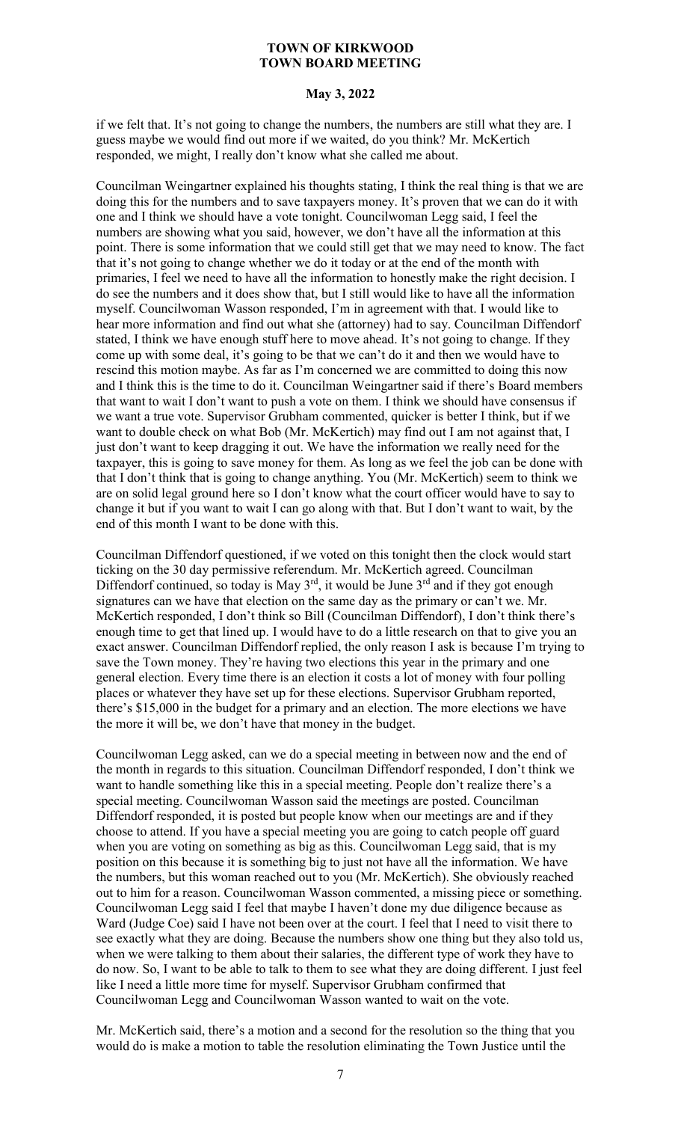## **May 3, 2022**

if we felt that. It's not going to change the numbers, the numbers are still what they are. I guess maybe we would find out more if we waited, do you think? Mr. McKertich responded, we might, I really don't know what she called me about.

Councilman Weingartner explained his thoughts stating, I think the real thing is that we are doing this for the numbers and to save taxpayers money. It's proven that we can do it with one and I think we should have a vote tonight. Councilwoman Legg said, I feel the numbers are showing what you said, however, we don't have all the information at this point. There is some information that we could still get that we may need to know. The fact that it's not going to change whether we do it today or at the end of the month with primaries, I feel we need to have all the information to honestly make the right decision. I do see the numbers and it does show that, but I still would like to have all the information myself. Councilwoman Wasson responded, I'm in agreement with that. I would like to hear more information and find out what she (attorney) had to say. Councilman Diffendorf stated, I think we have enough stuff here to move ahead. It's not going to change. If they come up with some deal, it's going to be that we can't do it and then we would have to rescind this motion maybe. As far as I'm concerned we are committed to doing this now and I think this is the time to do it. Councilman Weingartner said if there's Board members that want to wait I don't want to push a vote on them. I think we should have consensus if we want a true vote. Supervisor Grubham commented, quicker is better I think, but if we want to double check on what Bob (Mr. McKertich) may find out I am not against that, I just don't want to keep dragging it out. We have the information we really need for the taxpayer, this is going to save money for them. As long as we feel the job can be done with that I don't think that is going to change anything. You (Mr. McKertich) seem to think we are on solid legal ground here so I don't know what the court officer would have to say to change it but if you want to wait I can go along with that. But I don't want to wait, by the end of this month I want to be done with this.

Councilman Diffendorf questioned, if we voted on this tonight then the clock would start ticking on the 30 day permissive referendum. Mr. McKertich agreed. Councilman Diffendorf continued, so today is May  $3^{rd}$ , it would be June  $3^{rd}$  and if they got enough signatures can we have that election on the same day as the primary or can't we. Mr. McKertich responded, I don't think so Bill (Councilman Diffendorf), I don't think there's enough time to get that lined up. I would have to do a little research on that to give you an exact answer. Councilman Diffendorf replied, the only reason I ask is because I'm trying to save the Town money. They're having two elections this year in the primary and one general election. Every time there is an election it costs a lot of money with four polling places or whatever they have set up for these elections. Supervisor Grubham reported, there's \$15,000 in the budget for a primary and an election. The more elections we have the more it will be, we don't have that money in the budget.

Councilwoman Legg asked, can we do a special meeting in between now and the end of the month in regards to this situation. Councilman Diffendorf responded, I don't think we want to handle something like this in a special meeting. People don't realize there's a special meeting. Councilwoman Wasson said the meetings are posted. Councilman Diffendorf responded, it is posted but people know when our meetings are and if they choose to attend. If you have a special meeting you are going to catch people off guard when you are voting on something as big as this. Councilwoman Legg said, that is my position on this because it is something big to just not have all the information. We have the numbers, but this woman reached out to you (Mr. McKertich). She obviously reached out to him for a reason. Councilwoman Wasson commented, a missing piece or something. Councilwoman Legg said I feel that maybe I haven't done my due diligence because as Ward (Judge Coe) said I have not been over at the court. I feel that I need to visit there to see exactly what they are doing. Because the numbers show one thing but they also told us, when we were talking to them about their salaries, the different type of work they have to do now. So, I want to be able to talk to them to see what they are doing different. I just feel like I need a little more time for myself. Supervisor Grubham confirmed that Councilwoman Legg and Councilwoman Wasson wanted to wait on the vote.

Mr. McKertich said, there's a motion and a second for the resolution so the thing that you would do is make a motion to table the resolution eliminating the Town Justice until the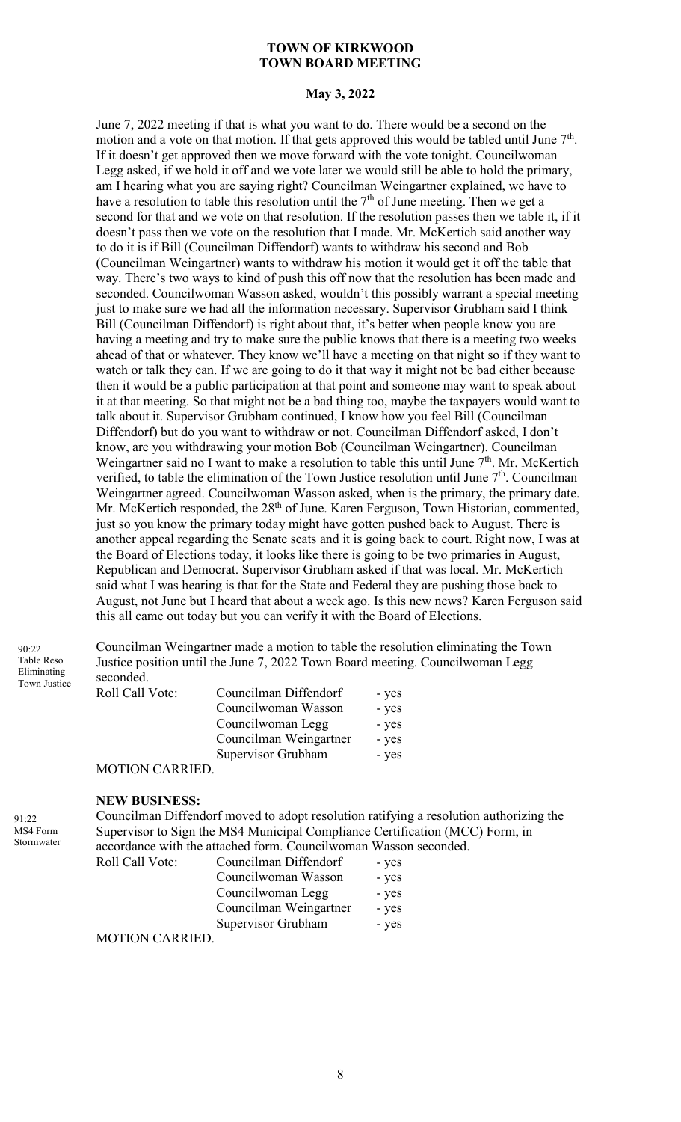## **May 3, 2022**

June 7, 2022 meeting if that is what you want to do. There would be a second on the motion and a vote on that motion. If that gets approved this would be tabled until June  $7<sup>th</sup>$ . If it doesn't get approved then we move forward with the vote tonight. Councilwoman Legg asked, if we hold it off and we vote later we would still be able to hold the primary, am I hearing what you are saying right? Councilman Weingartner explained, we have to have a resolution to table this resolution until the  $7<sup>th</sup>$  of June meeting. Then we get a second for that and we vote on that resolution. If the resolution passes then we table it, if it doesn't pass then we vote on the resolution that I made. Mr. McKertich said another way to do it is if Bill (Councilman Diffendorf) wants to withdraw his second and Bob (Councilman Weingartner) wants to withdraw his motion it would get it off the table that way. There's two ways to kind of push this off now that the resolution has been made and seconded. Councilwoman Wasson asked, wouldn't this possibly warrant a special meeting just to make sure we had all the information necessary. Supervisor Grubham said I think Bill (Councilman Diffendorf) is right about that, it's better when people know you are having a meeting and try to make sure the public knows that there is a meeting two weeks ahead of that or whatever. They know we'll have a meeting on that night so if they want to watch or talk they can. If we are going to do it that way it might not be bad either because then it would be a public participation at that point and someone may want to speak about it at that meeting. So that might not be a bad thing too, maybe the taxpayers would want to talk about it. Supervisor Grubham continued, I know how you feel Bill (Councilman Diffendorf) but do you want to withdraw or not. Councilman Diffendorf asked, I don't know, are you withdrawing your motion Bob (Councilman Weingartner). Councilman Weingartner said no I want to make a resolution to table this until June  $7<sup>th</sup>$ . Mr. McKertich verified, to table the elimination of the Town Justice resolution until June  $7<sup>th</sup>$ . Councilman Weingartner agreed. Councilwoman Wasson asked, when is the primary, the primary date. Mr. McKertich responded, the 28<sup>th</sup> of June. Karen Ferguson, Town Historian, commented, just so you know the primary today might have gotten pushed back to August. There is another appeal regarding the Senate seats and it is going back to court. Right now, I was at the Board of Elections today, it looks like there is going to be two primaries in August, Republican and Democrat. Supervisor Grubham asked if that was local. Mr. McKertich said what I was hearing is that for the State and Federal they are pushing those back to August, not June but I heard that about a week ago. Is this new news? Karen Ferguson said this all came out today but you can verify it with the Board of Elections.

90:22 Table Reso Eliminating Town Justice Councilman Weingartner made a motion to table the resolution eliminating the Town Justice position until the June 7, 2022 Town Board meeting. Councilwoman Legg seconded.

| Roll Call Vote:                    | Councilman Diffendorf  | - yes |
|------------------------------------|------------------------|-------|
|                                    | Councilwoman Wasson    | - yes |
|                                    | Councilwoman Legg      | - yes |
|                                    | Councilman Weingartner | - yes |
|                                    | Supervisor Grubham     | - yes |
| $M\cap TI\cap M\cap T\cap T\cap T$ |                        |       |

#### MOTION CARRIED.

## **NEW BUSINESS:**

Councilman Diffendorf moved to adopt resolution ratifying a resolution authorizing the Supervisor to Sign the MS4 Municipal Compliance Certification (MCC) Form, in accordance with the attached form. Councilwoman Wasson seconded. Roll Call

| Vote:                | Councilman Diffendorf  | - yes |
|----------------------|------------------------|-------|
|                      | Councilwoman Wasson    | - yes |
|                      | Councilwoman Legg      | - yes |
|                      | Councilman Weingartner | - yes |
|                      | Supervisor Grubham     | - yes |
| $T$ $\cap$ $\Lambda$ |                        |       |

MOTION CARRIED.